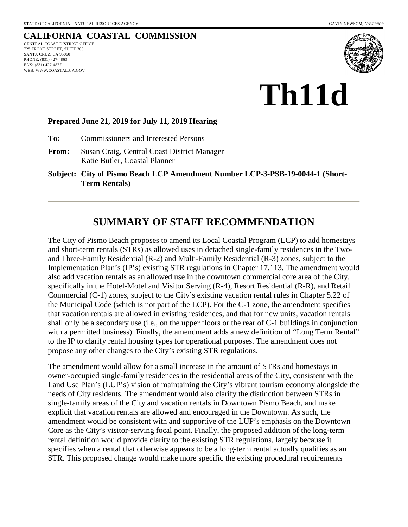## **CALIFORNIA COASTAL COMMISSION**

CENTRAL COAST DISTRICT OFFICE 725 FRONT STREET, SUITE 300 SANTA CRUZ, CA 95060 PHONE: (831) 427-4863 FAX: (831) 427-4877 WEB: WWW.COASTAL.CA.GOV



# **Th11d**

#### **Prepared June 21, 2019 for July 11, 2019 Hearing**

**To:** Commissioners and Interested Persons

**From:** Susan Craig, Central Coast District Manager Katie Butler, Coastal Planner

**Subject: City of Pismo Beach LCP Amendment Number LCP-3-PSB-19-0044-1 (Short-Term Rentals)**

## **SUMMARY OF STAFF RECOMMENDATION**

The City of Pismo Beach proposes to amend its Local Coastal Program (LCP) to add homestays and short-term rentals (STRs) as allowed uses in detached single-family residences in the Twoand Three-Family Residential (R-2) and Multi-Family Residential (R-3) zones, subject to the Implementation Plan's (IP's) existing STR regulations in Chapter 17.113. The amendment would also add vacation rentals as an allowed use in the downtown commercial core area of the City, specifically in the Hotel-Motel and Visitor Serving (R-4), Resort Residential (R-R), and Retail Commercial (C-1) zones, subject to the City's existing vacation rental rules in Chapter 5.22 of the Municipal Code (which is not part of the LCP). For the C-1 zone, the amendment specifies that vacation rentals are allowed in existing residences, and that for new units, vacation rentals shall only be a secondary use (i.e., on the upper floors or the rear of C-1 buildings in conjunction with a permitted business). Finally, the amendment adds a new definition of "Long Term Rental" to the IP to clarify rental housing types for operational purposes. The amendment does not propose any other changes to the City's existing STR regulations.

The amendment would allow for a small increase in the amount of STRs and homestays in owner-occupied single-family residences in the residential areas of the City, consistent with the Land Use Plan's (LUP's) vision of maintaining the City's vibrant tourism economy alongside the needs of City residents. The amendment would also clarify the distinction between STRs in single-family areas of the City and vacation rentals in Downtown Pismo Beach, and make explicit that vacation rentals are allowed and encouraged in the Downtown. As such, the amendment would be consistent with and supportive of the LUP's emphasis on the Downtown Core as the City's visitor-serving focal point. Finally, the proposed addition of the long-term rental definition would provide clarity to the existing STR regulations, largely because it specifies when a rental that otherwise appears to be a long-term rental actually qualifies as an STR. This proposed change would make more specific the existing procedural requirements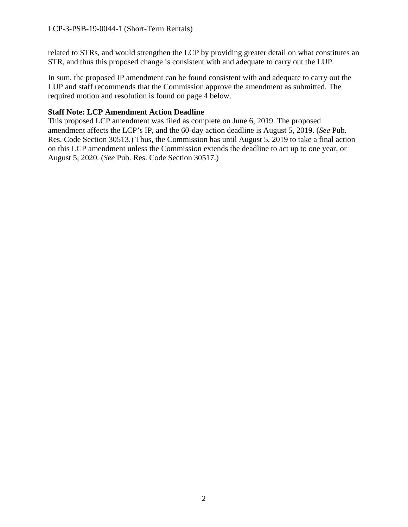related to STRs, and would strengthen the LCP by providing greater detail on what constitutes an STR, and thus this proposed change is consistent with and adequate to carry out the LUP.

In sum, the proposed IP amendment can be found consistent with and adequate to carry out the LUP and staff recommends that the Commission approve the amendment as submitted. The required motion and resolution is found on page 4 below.

#### **Staff Note: LCP Amendment Action Deadline**

This proposed LCP amendment was filed as complete on June 6, 2019. The proposed amendment affects the LCP's IP, and the 60-day action deadline is August 5, 2019. (*See* Pub. Res. Code Section 30513.) Thus, the Commission has until August 5, 2019 to take a final action on this LCP amendment unless the Commission extends the deadline to act up to one year, or August 5, 2020. (*See* Pub. Res. Code Section 30517.)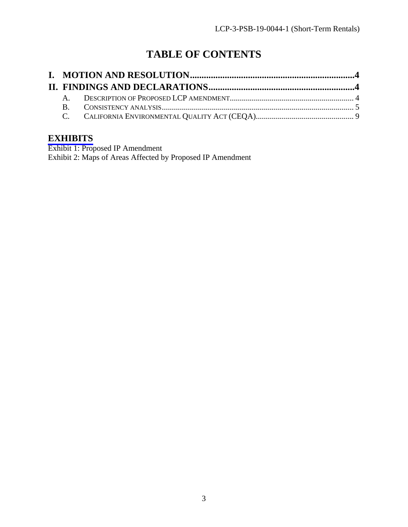## **TABLE OF CONTENTS**

## **[EXHIBITS](https://documents.coastal.ca.gov/reports/2019/7/Th11d/Th11d-7-2019-exhibits.pdf)**

Exhibit 1: Proposed IP Amendment Exhibit 2: Maps of Areas Affected by Proposed IP Amendment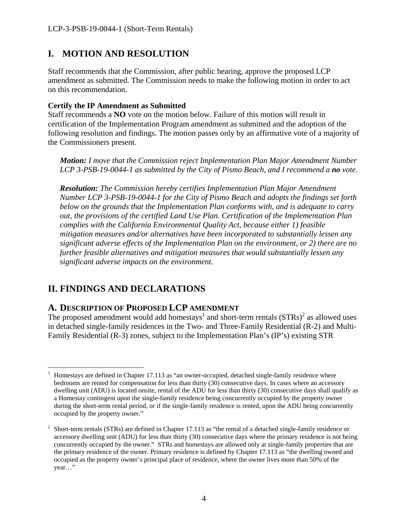## **I. MOTION AND RESOLUTION**

Staff recommends that the Commission, after public hearing, approve the proposed LCP amendment as submitted. The Commission needs to make the following motion in order to act on this recommendation.

### **Certify the IP Amendment as Submitted**

Staff recommends a **NO** vote on the motion below. Failure of this motion will result in certification of the Implementation Program amendment as submitted and the adoption of the following resolution and findings. The motion passes only by an affirmative vote of a majority of the Commissioners present.

*Motion: I move that the Commission reject Implementation Plan Major Amendment Number LCP 3-PSB-19-0044-1 as submitted by the City of Pismo Beach, and I recommend a no vote.* 

*Resolution: The Commission hereby certifies Implementation Plan Major Amendment Number LCP 3-PSB-19-0044-1 for the City of Pismo Beach and adopts the findings set forth below on the grounds that the Implementation Plan conforms with, and is adequate to carry out, the provisions of the certified Land Use Plan. Certification of the Implementation Plan complies with the California Environmental Quality Act, because either 1) feasible mitigation measures and/or alternatives have been incorporated to substantially lessen any significant adverse effects of the Implementation Plan on the environment, or 2) there are no further feasible alternatives and mitigation measures that would substantially lessen any significant adverse impacts on the environment.* 

## **II. FINDINGS AND DECLARATIONS**

## **A. DESCRIPTION OF PROPOSED LCP AMENDMENT**

The proposed amendment would add homestays<sup>1</sup> and short-term rentals  $(STRs)^2$  as allowed uses in detached single-family residences in the Two- and Three-Family Residential (R-2) and Multi-Family Residential (R-3) zones, subject to the Implementation Plan's (IP's) existing STR

 $\overline{a}$ 1 Homestays are defined in Chapter 17.113 as "an owner-occupied, detached single-family residence where bedrooms are rented for compensation for less than thirty (30) consecutive days. In cases where an accessory dwelling unit (ADU) is located onsite, rental of the ADU for less than thirty (30) consecutive days shall qualify as a Homestay contingent upon the single-family residence being concurrently occupied by the property owner during the short-term rental period, or if the single-family residence is rented, upon the ADU being concurrently occupied by the property owner."

<sup>2</sup> Short-term rentals (STRs) are defined in Chapter 17.113 as "the rental of a detached single-family residence or accessory dwelling unit (ADU) for less than thirty (30) consecutive days where the primary residence is not being concurrently occupied by the owner." STRs and homestays are allowed only at single-family properties that are the primary residence of the owner. Primary residence is defined by Chapter 17.113 as "the dwelling owned and occupied as the property owner's principal place of residence, where the owner lives more than 50% of the year…"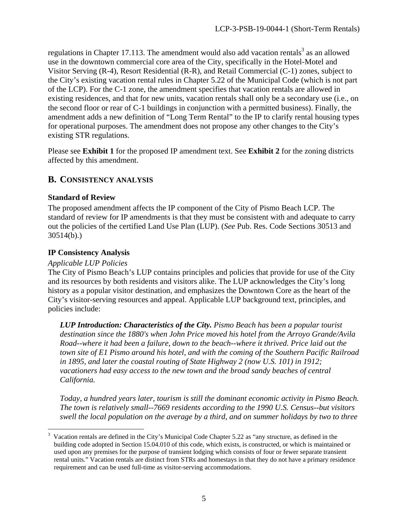regulations in Chapter 17.113. The amendment would also add vacation rentals<sup>3</sup> as an allowed use in the downtown commercial core area of the City, specifically in the Hotel-Motel and Visitor Serving (R-4), Resort Residential (R-R), and Retail Commercial (C-1) zones, subject to the City's existing vacation rental rules in Chapter 5.22 of the Municipal Code (which is not part of the LCP). For the C-1 zone, the amendment specifies that vacation rentals are allowed in existing residences, and that for new units, vacation rentals shall only be a secondary use (i.e., on the second floor or rear of C-1 buildings in conjunction with a permitted business). Finally, the amendment adds a new definition of "Long Term Rental" to the IP to clarify rental housing types for operational purposes. The amendment does not propose any other changes to the City's existing STR regulations.

Please see **Exhibit 1** for the proposed IP amendment text. See **Exhibit 2** for the zoning districts affected by this amendment.

## **B. CONSISTENCY ANALYSIS**

#### **Standard of Review**

The proposed amendment affects the IP component of the City of Pismo Beach LCP. The standard of review for IP amendments is that they must be consistent with and adequate to carry out the policies of the certified Land Use Plan (LUP). (*See* Pub. Res. Code Sections 30513 and 30514(b).)

#### **IP Consistency Analysis**

#### *Applicable LUP Policies*

 $\overline{a}$ 

The City of Pismo Beach's LUP contains principles and policies that provide for use of the City and its resources by both residents and visitors alike. The LUP acknowledges the City's long history as a popular visitor destination, and emphasizes the Downtown Core as the heart of the City's visitor-serving resources and appeal. Applicable LUP background text, principles, and policies include:

*LUP Introduction: Characteristics of the City. Pismo Beach has been a popular tourist destination since the 1880's when John Price moved his hotel from the Arroyo Grande/Avila Road--where it had been a failure, down to the beach--where it thrived. Price laid out the town site of E1 Pismo around his hotel, and with the coming of the Southern Pacific Railroad in 1895, and later the coastal routing of State Highway 2 (now U.S. 101) in 1912; vacationers had easy access to the new town and the broad sandy beaches of central California.* 

*Today, a hundred years later, tourism is still the dominant economic activity in Pismo Beach. The town is relatively small--7669 residents according to the 1990 U.S. Census--but visitors swell the local population on the average by a third, and on summer holidays by two to three* 

<sup>3</sup> Vacation rentals are defined in the City's Municipal Code Chapter 5.22 as "any structure, as defined in the building code adopted in Section 15.04.010 of this code, which exists, is constructed, or which is maintained or used upon any premises for the purpose of transient lodging which consists of four or fewer separate transient rental units." Vacation rentals are distinct from STRs and homestays in that they do not have a primary residence requirement and can be used full-time as visitor-serving accommodations.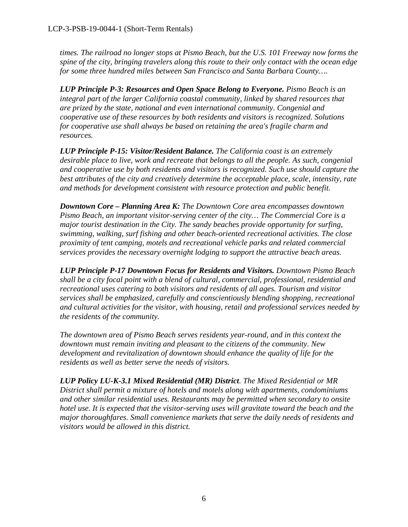*times. The railroad no longer stops at Pismo Beach, but the U.S. 101 Freeway now forms the spine of the city, bringing travelers along this route to their only contact with the ocean edge for some three hundred miles between San Francisco and Santa Barbara County….* 

*LUP Principle P-3: Resources and Open Space Belong to Everyone. Pismo Beach is an integral part of the larger California coastal community, linked by shared resources that are prized by the state, national and even international community. Congenial and cooperative use of these resources by both residents and visitors is recognized. Solutions for cooperative use shall always be based on retaining the area's fragile charm and resources.* 

*LUP Principle P-15: Visitor/Resident Balance. The California coast is an extremely*  desirable place to live, work and recreate that belongs to all the people. As such, congenial *and cooperative use by both residents and visitors is recognized. Such use should capture the best attributes of the city and creatively determine the acceptable place, scale, intensity, rate and methods for development consistent with resource protection and public benefit.* 

*Downtown Core – Planning Area K: The Downtown Core area encompasses downtown Pismo Beach, an important visitor-serving center of the city… The Commercial Core is a major tourist destination in the City. The sandy beaches provide opportunity for surfing, swimming, walking, surf fishing and other beach-oriented recreational activities. The close proximity of tent camping, motels and recreational vehicle parks and related commercial services provides the necessary overnight lodging to support the attractive beach areas.*

*LUP Principle P-17 Downtown Focus for Residents and Visitors. Downtown Pismo Beach shall be a city focal point with a blend of cultural, commercial, professional, residential and recreational uses catering to both visitors and residents of all ages. Tourism and visitor services shall be emphasized, carefully and conscientiously blending shopping, recreational and cultural activities for the visitor, with housing, retail and professional services needed by the residents of the community.* 

*The downtown area of Pismo Beach serves residents year-round, and in this context the downtown must remain inviting and pleasant to the citizens of the community. New development and revitalization of downtown should enhance the quality of life for the residents as well as better serve the needs of visitors.*

*LUP Policy LU-K-3.1 Mixed Residential (MR) District. The Mixed Residential or MR District shall permit a mixture of hotels and motels along with apartments, condominiums and other similar residential uses. Restaurants may be permitted when secondary to onsite hotel use. It is expected that the visitor-serving uses will gravitate toward the beach and the major thoroughfares. Small convenience markets that serve the daily needs of residents and visitors would be allowed in this district.*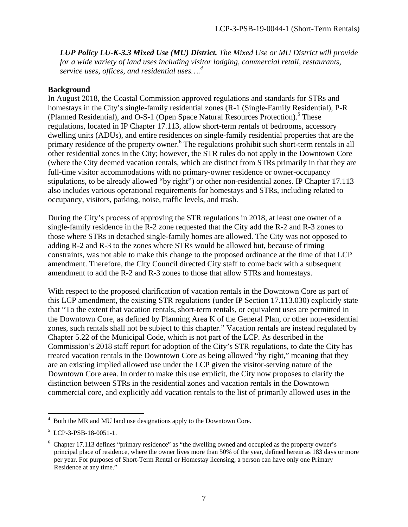*LUP Policy LU-K-3.3 Mixed Use (MU) District. The Mixed Use or MU District will provide for a wide variety of land uses including visitor lodging, commercial retail, restaurants, service uses, offices, and residential uses….4*

#### **Background**

In August 2018, the Coastal Commission approved regulations and standards for STRs and homestays in the City's single-family residential zones (R-1 (Single-Family Residential), P-R (Planned Residential), and O-S-1 (Open Space Natural Resources Protection).<sup>5</sup> These regulations, located in IP Chapter 17.113, allow short-term rentals of bedrooms, accessory dwelling units (ADUs), and entire residences on single-family residential properties that are the primary residence of the property owner.<sup>6</sup> The regulations prohibit such short-term rentals in all other residential zones in the City; however, the STR rules do not apply in the Downtown Core (where the City deemed vacation rentals, which are distinct from STRs primarily in that they are full-time visitor accommodations with no primary-owner residence or owner-occupancy stipulations, to be already allowed "by right") or other non-residential zones. IP Chapter 17.113 also includes various operational requirements for homestays and STRs, including related to occupancy, visitors, parking, noise, traffic levels, and trash.

During the City's process of approving the STR regulations in 2018, at least one owner of a single-family residence in the R-2 zone requested that the City add the R-2 and R-3 zones to those where STRs in detached single-family homes are allowed. The City was not opposed to adding R-2 and R-3 to the zones where STRs would be allowed but, because of timing constraints, was not able to make this change to the proposed ordinance at the time of that LCP amendment. Therefore, the City Council directed City staff to come back with a subsequent amendment to add the R-2 and R-3 zones to those that allow STRs and homestays.

With respect to the proposed clarification of vacation rentals in the Downtown Core as part of this LCP amendment, the existing STR regulations (under IP Section 17.113.030) explicitly state that "To the extent that vacation rentals, short-term rentals, or equivalent uses are permitted in the Downtown Core, as defined by Planning Area K of the General Plan, or other non-residential zones, such rentals shall not be subject to this chapter." Vacation rentals are instead regulated by Chapter 5.22 of the Municipal Code, which is not part of the LCP. As described in the Commission's 2018 staff report for adoption of the City's STR regulations, to date the City has treated vacation rentals in the Downtown Core as being allowed "by right," meaning that they are an existing implied allowed use under the LCP given the visitor-serving nature of the Downtown Core area. In order to make this use explicit, the City now proposes to clarify the distinction between STRs in the residential zones and vacation rentals in the Downtown commercial core, and explicitly add vacation rentals to the list of primarily allowed uses in the

<sup>1</sup> <sup>4</sup> Both the MR and MU land use designations apply to the Downtown Core.

<sup>5</sup> LCP-3-PSB-18-0051-1.

<sup>&</sup>lt;sup>6</sup> Chapter 17.113 defines "primary residence" as "the dwelling owned and occupied as the property owner's principal place of residence, where the owner lives more than 50% of the year, defined herein as 183 days or more per year. For purposes of Short-Term Rental or Homestay licensing, a person can have only one Primary Residence at any time."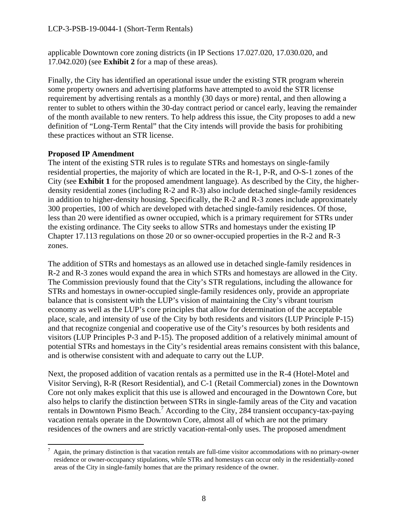applicable Downtown core zoning districts (in IP Sections 17.027.020, 17.030.020, and 17.042.020) (see **Exhibit 2** for a map of these areas).

Finally, the City has identified an operational issue under the existing STR program wherein some property owners and advertising platforms have attempted to avoid the STR license requirement by advertising rentals as a monthly (30 days or more) rental, and then allowing a renter to sublet to others within the 30-day contract period or cancel early, leaving the remainder of the month available to new renters. To help address this issue, the City proposes to add a new definition of "Long-Term Rental" that the City intends will provide the basis for prohibiting these practices without an STR license.

### **Proposed IP Amendment**

The intent of the existing STR rules is to regulate STRs and homestays on single-family residential properties, the majority of which are located in the R-1, P-R, and O-S-1 zones of the City (see **Exhibit 1** for the proposed amendment language). As described by the City, the higherdensity residential zones (including R-2 and R-3) also include detached single-family residences in addition to higher-density housing. Specifically, the R-2 and R-3 zones include approximately 300 properties, 100 of which are developed with detached single-family residences. Of those, less than 20 were identified as owner occupied, which is a primary requirement for STRs under the existing ordinance. The City seeks to allow STRs and homestays under the existing IP Chapter 17.113 regulations on those 20 or so owner-occupied properties in the R-2 and R-3 zones.

The addition of STRs and homestays as an allowed use in detached single-family residences in R-2 and R-3 zones would expand the area in which STRs and homestays are allowed in the City. The Commission previously found that the City's STR regulations, including the allowance for STRs and homestays in owner-occupied single-family residences only, provide an appropriate balance that is consistent with the LUP's vision of maintaining the City's vibrant tourism economy as well as the LUP's core principles that allow for determination of the acceptable place, scale, and intensity of use of the City by both residents and visitors (LUP Principle P-15) and that recognize congenial and cooperative use of the City's resources by both residents and visitors (LUP Principles P-3 and P-15). The proposed addition of a relatively minimal amount of potential STRs and homestays in the City's residential areas remains consistent with this balance, and is otherwise consistent with and adequate to carry out the LUP.

Next, the proposed addition of vacation rentals as a permitted use in the R-4 (Hotel-Motel and Visitor Serving), R-R (Resort Residential), and C-1 (Retail Commercial) zones in the Downtown Core not only makes explicit that this use is allowed and encouraged in the Downtown Core, but also helps to clarify the distinction between STRs in single-family areas of the City and vacation rentals in Downtown Pismo Beach.<sup>7</sup> According to the City, 284 transient occupancy-tax-paying vacation rentals operate in the Downtown Core, almost all of which are not the primary residences of the owners and are strictly vacation-rental-only uses. The proposed amendment

 $\overline{a}$  $^7$  Again, the primary distinction is that vacation rentals are full-time visitor accommodations with no primary-owner residence or owner-occupancy stipulations, while STRs and homestays can occur only in the residentially-zoned areas of the City in single-family homes that are the primary residence of the owner.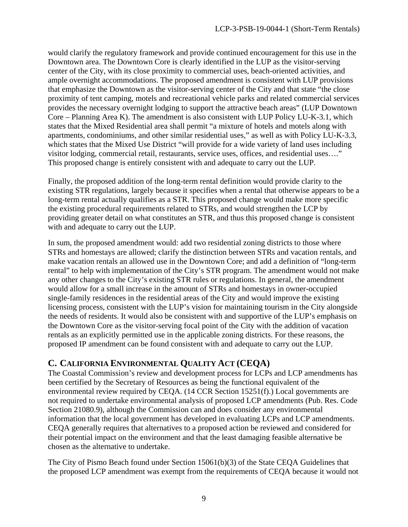would clarify the regulatory framework and provide continued encouragement for this use in the Downtown area. The Downtown Core is clearly identified in the LUP as the visitor-serving center of the City, with its close proximity to commercial uses, beach-oriented activities, and ample overnight accommodations. The proposed amendment is consistent with LUP provisions that emphasize the Downtown as the visitor-serving center of the City and that state "the close proximity of tent camping, motels and recreational vehicle parks and related commercial services provides the necessary overnight lodging to support the attractive beach areas" (LUP Downtown Core – Planning Area K). The amendment is also consistent with LUP Policy LU-K-3.1, which states that the Mixed Residential area shall permit "a mixture of hotels and motels along with apartments, condominiums, and other similar residential uses," as well as with Policy LU-K-3.3, which states that the Mixed Use District "will provide for a wide variety of land uses including visitor lodging, commercial retail, restaurants, service uses, offices, and residential uses…." This proposed change is entirely consistent with and adequate to carry out the LUP.

Finally, the proposed addition of the long-term rental definition would provide clarity to the existing STR regulations, largely because it specifies when a rental that otherwise appears to be a long-term rental actually qualifies as a STR. This proposed change would make more specific the existing procedural requirements related to STRs, and would strengthen the LCP by providing greater detail on what constitutes an STR, and thus this proposed change is consistent with and adequate to carry out the LUP.

In sum, the proposed amendment would: add two residential zoning districts to those where STRs and homestays are allowed; clarify the distinction between STRs and vacation rentals, and make vacation rentals an allowed use in the Downtown Core; and add a definition of "long-term rental" to help with implementation of the City's STR program. The amendment would not make any other changes to the City's existing STR rules or regulations. In general, the amendment would allow for a small increase in the amount of STRs and homestays in owner-occupied single-family residences in the residential areas of the City and would improve the existing licensing process, consistent with the LUP's vision for maintaining tourism in the City alongside the needs of residents. It would also be consistent with and supportive of the LUP's emphasis on the Downtown Core as the visitor-serving focal point of the City with the addition of vacation rentals as an explicitly permitted use in the applicable zoning districts. For these reasons, the proposed IP amendment can be found consistent with and adequate to carry out the LUP.

## **C. CALIFORNIA ENVIRONMENTAL QUALITY ACT (CEQA)**

The Coastal Commission's review and development process for LCPs and LCP amendments has been certified by the Secretary of Resources as being the functional equivalent of the environmental review required by CEQA. (14 CCR Section 15251(f).) Local governments are not required to undertake environmental analysis of proposed LCP amendments (Pub. Res. Code Section 21080.9), although the Commission can and does consider any environmental information that the local government has developed in evaluating LCPs and LCP amendments. CEQA generally requires that alternatives to a proposed action be reviewed and considered for their potential impact on the environment and that the least damaging feasible alternative be chosen as the alternative to undertake.

The City of Pismo Beach found under Section 15061(b)(3) of the State CEQA Guidelines that the proposed LCP amendment was exempt from the requirements of CEQA because it would not